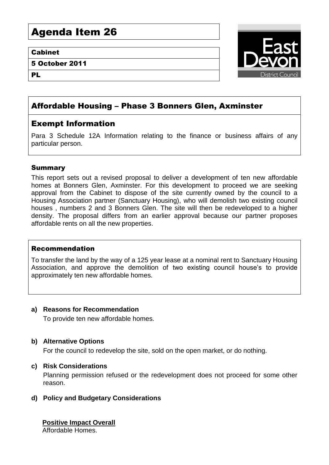# Agenda Item 26

#### Cabinet

5 October 2011

PL

![](_page_0_Picture_4.jpeg)

# Affordable Housing – Phase 3 Bonners Glen, Axminster

# Exempt Information

Para 3 Schedule 12A Information relating to the finance or business affairs of any particular person.

# Summary

This report sets out a revised proposal to deliver a development of ten new affordable homes at Bonners Glen, Axminster. For this development to proceed we are seeking approval from the Cabinet to dispose of the site currently owned by the council to a Housing Association partner (Sanctuary Housing), who will demolish two existing council houses , numbers 2 and 3 Bonners Glen. The site will then be redeveloped to a higher density. The proposal differs from an earlier approval because our partner proposes affordable rents on all the new properties.

# Recommendation

To transfer the land by the way of a 125 year lease at a nominal rent to Sanctuary Housing Association, and approve the demolition of two existing council house's to provide approximately ten new affordable homes.

#### **a) Reasons for Recommendation**

To provide ten new affordable homes.

#### **b) Alternative Options**

For the council to redevelop the site, sold on the open market, or do nothing.

#### **c) Risk Considerations**

Planning permission refused or the redevelopment does not proceed for some other reason.

**d) Policy and Budgetary Considerations**

# **Positive Impact Overall**

Affordable Homes.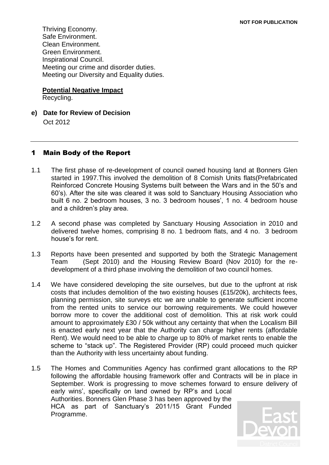Thriving Economy. Safe Environment. Clean Environment. Green Environment. Inspirational Council. Meeting our crime and disorder duties. Meeting our Diversity and Equality duties.

#### **Potential Negative Impact**

Recycling.

**e) Date for Review of Decision** Oct 2012

### 1 Main Body of the Report

- 1.1 The first phase of re-development of council owned housing land at Bonners Glen started in 1997.This involved the demolition of 8 Cornish Units flats(Prefabricated Reinforced Concrete Housing Systems built between the Wars and in the 50's and 60's). After the site was cleared it was sold to Sanctuary Housing Association who built 6 no. 2 bedroom houses, 3 no. 3 bedroom houses', 1 no. 4 bedroom house and a children's play area.
- 1.2 A second phase was completed by Sanctuary Housing Association in 2010 and delivered twelve homes, comprising 8 no. 1 bedroom flats, and 4 no. 3 bedroom house's for rent.
- 1.3 Reports have been presented and supported by both the Strategic Management Team (Sept 2010) and the Housing Review Board (Nov 2010) for the redevelopment of a third phase involving the demolition of two council homes.
- 1.4 We have considered developing the site ourselves, but due to the upfront at risk costs that includes demolition of the two existing houses (£15/20k), architects fees, planning permission, site surveys etc we are unable to generate sufficient income from the rented units to service our borrowing requirements. We could however borrow more to cover the additional cost of demolition. This at risk work could amount to approximately £30 / 50k without any certainty that when the Localism Bill is enacted early next year that the Authority can charge higher rents (affordable Rent). We would need to be able to charge up to 80% of market rents to enable the scheme to "stack up". The Registered Provider (RP) could proceed much quicker than the Authority with less uncertainty about funding.
- 1.5 The Homes and Communities Agency has confirmed grant allocations to the RP following the affordable housing framework offer and Contracts will be in place in September. Work is progressing to move schemes forward to ensure delivery of early wins', specifically on land owned by RP's and Local Authorities. Bonners Glen Phase 3 has been approved by the HCA as part of Sanctuary's 2011/15 Grant Funded Programme.

![](_page_1_Picture_11.jpeg)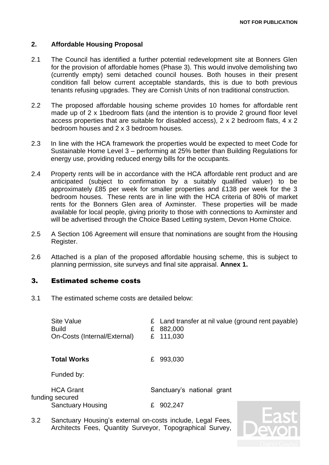#### **2. Affordable Housing Proposal**

- 2.1 The Council has identified a further potential redevelopment site at Bonners Glen for the provision of affordable homes (Phase 3). This would involve demolishing two (currently empty) semi detached council houses. Both houses in their present condition fall below current acceptable standards, this is due to both previous tenants refusing upgrades. They are Cornish Units of non traditional construction.
- 2.2 The proposed affordable housing scheme provides 10 homes for affordable rent made up of 2 x 1 bedroom flats (and the intention is to provide 2 ground floor level access properties that are suitable for disabled access), 2 x 2 bedroom flats, 4 x 2 bedroom houses and 2 x 3 bedroom houses.
- 2.3 In line with the HCA framework the properties would be expected to meet Code for Sustainable Home Level 3 – performing at 25% better than Building Regulations for energy use, providing reduced energy bills for the occupants.
- 2.4 Property rents will be in accordance with the HCA affordable rent product and are anticipated (subject to confirmation by a suitably qualified valuer) to be approximately £85 per week for smaller properties and £138 per week for the 3 bedroom houses. These rents are in line with the HCA criteria of 80% of market rents for the Bonners Glen area of Axminster. These properties will be made available for local people, giving priority to those with connections to Axminster and will be advertised through the Choice Based Letting system, Devon Home Choice.
- 2.5 A Section 106 Agreement will ensure that nominations are sought from the Housing Register.
- 2.6 Attached is a plan of the proposed affordable housing scheme, this is subject to planning permission, site surveys and final site appraisal. **Annex 1.**

#### 3. Estimated scheme costs

3.1 The estimated scheme costs are detailed below:

| Site Value                   | $\epsilon$ Land transfer at nil value (ground rent payable) |
|------------------------------|-------------------------------------------------------------|
| <b>Build</b>                 | £ 882,000                                                   |
| On-Costs (Internal/External) | £ 111,030                                                   |

**Total Works** £ 993,030

Funded by:

| <b>HCA Grant</b>         | Sanctuary's national grant |
|--------------------------|----------------------------|
| funding secured          |                            |
| <b>Sanctuary Housing</b> | £ 902,247                  |

3.2 Sanctuary Housing's external on-costs include, Legal Fees, Architects Fees, Quantity Surveyor, Topographical Survey,

![](_page_2_Picture_16.jpeg)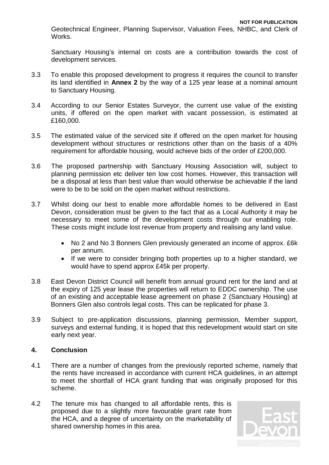Geotechnical Engineer, Planning Supervisor, Valuation Fees, NHBC, and Clerk of Works.

Sanctuary Housing's internal on costs are a contribution towards the cost of development services.

- 3.3 To enable this proposed development to progress it requires the council to transfer its land identified in **Annex 2** by the way of a 125 year lease at a nominal amount to Sanctuary Housing.
- 3.4 According to our Senior Estates Surveyor, the current use value of the existing units, if offered on the open market with vacant possession, is estimated at £160,000.
- 3.5 The estimated value of the serviced site if offered on the open market for housing development without structures or restrictions other than on the basis of a 40% requirement for affordable housing, would achieve bids of the order of £200,000.
- 3.6 The proposed partnership with Sanctuary Housing Association will, subject to planning permission etc deliver ten low cost homes. However, this transaction will be a disposal at less than best value than would otherwise be achievable if the land were to be to be sold on the open market without restrictions.
- 3.7 Whilst doing our best to enable more affordable homes to be delivered in East Devon, consideration must be given to the fact that as a Local Authority it may be necessary to meet some of the development costs through our enabling role. These costs might include lost revenue from property and realising any land value.
	- No 2 and No 3 Bonners Glen previously generated an income of approx. £6k per annum.
	- If we were to consider bringing both properties up to a higher standard, we would have to spend approx £45k per property.
- 3.8 East Devon District Council will benefit from annual ground rent for the land and at the expiry of 125 year lease the properties will return to EDDC ownership. The use of an existing and acceptable lease agreement on phase 2 (Sanctuary Housing) at Bonners Glen also controls legal costs. This can be replicated for phase 3.
- 3.9 Subject to pre-application discussions, planning permission, Member support, surveys and external funding, it is hoped that this redevelopment would start on site early next year.

# **4. Conclusion**

- 4.1 There are a number of changes from the previously reported scheme, namely that the rents have increased in accordance with current HCA guidelines, in an attempt to meet the shortfall of HCA grant funding that was originally proposed for this scheme.
- 4.2 The tenure mix has changed to all affordable rents, this is proposed due to a slightly more favourable grant rate from the HCA, and a degree of uncertainty on the marketability of shared ownership homes in this area.

![](_page_3_Picture_15.jpeg)